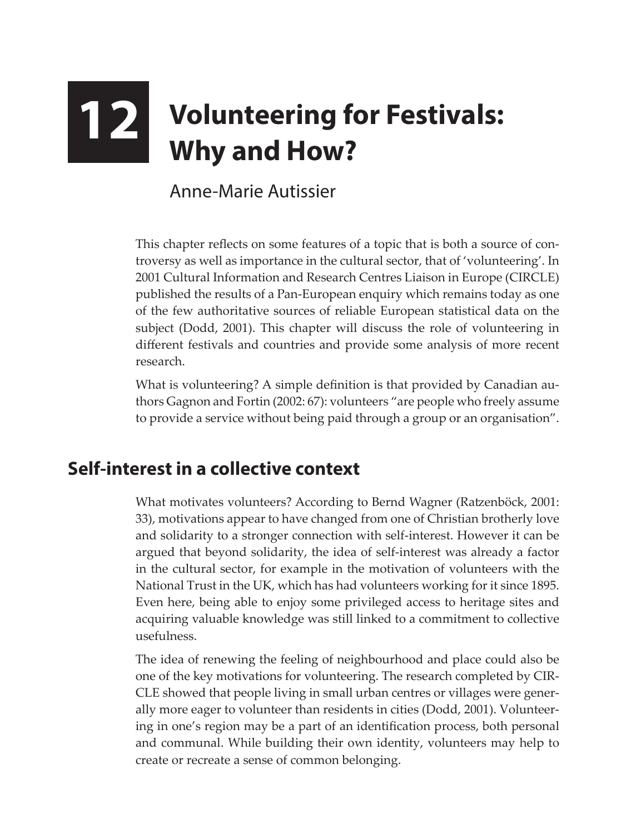## **12 Volunteering for Festivals:**<br>Why and How? **Why and How?**

Anne-Marie Autissier

This chapter reflects on some features of a topic that is both a source of controversy as well as importance in the cultural sector, that of 'volunteering'. In 2001 Cultural Information and Research Centres Liaison in Europe (CIRCLE) published the results of a Pan-European enquiry which remains today as one of the few authoritative sources of reliable European statistical data on the subject (Dodd, 2001). This chapter will discuss the role of volunteering in different festivals and countries and provide some analysis of more recent research.

What is volunteering? A simple definition is that provided by Canadian authors Gagnon and Fortin (2002: 67): volunteers "are people who freely assume to provide a service without being paid through a group or an organisation".

## **Self-interest in a collective context**

What motivates volunteers? According to Bernd Wagner (Ratzenböck, 2001: 33), motivations appear to have changed from one of Christian brotherly love and solidarity to a stronger connection with self-interest. However it can be argued that beyond solidarity, the idea of self-interest was already a factor in the cultural sector, for example in the motivation of volunteers with the National Trust in the UK, which has had volunteers working for it since 1895. Even here, being able to enjoy some privileged access to heritage sites and acquiring valuable knowledge was still linked to a commitment to collective usefulness.

The idea of renewing the feeling of neighbourhood and place could also be one of the key motivations for volunteering. The research completed by CIR-CLE showed that people living in small urban centres or villages were generally more eager to volunteer than residents in cities (Dodd, 2001). Volunteering in one's region may be a part of an identification process, both personal and communal. While building their own identity, volunteers may help to create or recreate a sense of common belonging.